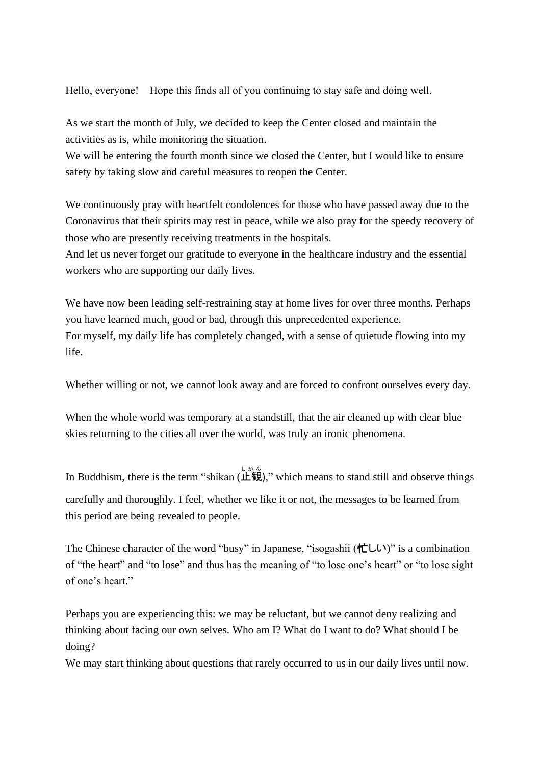Hello, everyone! Hope this finds all of you continuing to stay safe and doing well.

As we start the month of July, we decided to keep the Center closed and maintain the activities as is, while monitoring the situation.

We will be entering the fourth month since we closed the Center, but I would like to ensure safety by taking slow and careful measures to reopen the Center.

We continuously pray with heartfelt condolences for those who have passed away due to the Coronavirus that their spirits may rest in peace, while we also pray for the speedy recovery of those who are presently receiving treatments in the hospitals.

And let us never forget our gratitude to everyone in the healthcare industry and the essential workers who are supporting our daily lives.

We have now been leading self-restraining stay at home lives for over three months. Perhaps you have learned much, good or bad, through this unprecedented experience. For myself, my daily life has completely changed, with a sense of quietude flowing into my life.

Whether willing or not, we cannot look away and are forced to confront ourselves every day.

When the whole world was temporary at a standstill, that the air cleaned up with clear blue skies returning to the cities all over the world, was truly an ironic phenomena.

In Buddhism, there is the term "shikan (止観)," which means to stand still and observe things carefully and thoroughly. I feel, whether we like it or not, the messages to be learned from this period are being revealed to people.

The Chinese character of the word "busy" in Japanese, "isogashii (忙しい)" is a combination of "the heart" and "to lose" and thus has the meaning of "to lose one's heart" or "to lose sight of one's heart."

Perhaps you are experiencing this: we may be reluctant, but we cannot deny realizing and thinking about facing our own selves. Who am I? What do I want to do? What should I be doing?

We may start thinking about questions that rarely occurred to us in our daily lives until now.